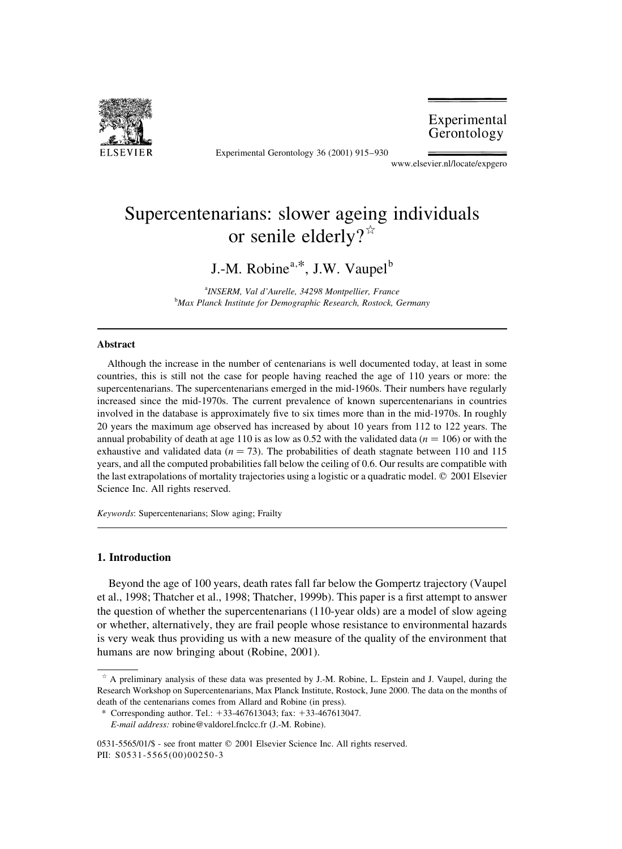

Experimental Gerontology 36 (2001) 915-930

Experimental Gerontology

www.elsevier.nl/locate/expgero

# Supercentenarians: slower ageing individuals or senile elderly? $\mathbb{R}$

## J.-M. Robine<sup>a,\*</sup>, J.W. Vaupel<sup>b</sup>

<sup>a</sup>INSERM, Val d'Aurelle, 34298 Montpellier, France <sup>b</sup>Max Planck Institute for Demographic Research, Rostock, Germany

#### **Abstract**

Although the increase in the number of centenarians is well documented today, at least in some countries, this is still not the case for people having reached the age of 110 years or more: the supercentenarians. The supercentenarians emerged in the mid-1960s. Their numbers have regularly increased since the mid-1970s. The current prevalence of known supercentenarians in countries involved in the database is approximately five to six times more than in the mid-1970s. In roughly 20 years the maximum age observed has increased by about 10 years from 112 to 122 years. The annual probability of death at age 110 is as low as 0.52 with the validated data ( $n = 106$ ) or with the exhaustive and validated data ( $n = 73$ ). The probabilities of death stagnate between 110 and 115 years, and all the computed probabilities fall below the ceiling of 0.6. Our results are compatible with the last extrapolations of mortality trajectories using a logistic or a quadratic model. © 2001 Elsevier Science Inc. All rights reserved.

Keywords: Supercentenarians; Slow aging; Frailty

#### 1. Introduction

Beyond the age of 100 years, death rates fall far below the Gompertz trajectory (Vaupel et al., 1998; Thatcher et al., 1998; Thatcher, 1999b). This paper is a first attempt to answer the question of whether the supercentenarians (110-year olds) are a model of slow ageing or whether, alternatively, they are frail people whose resistance to environmental hazards is very weak thus providing us with a new measure of the quality of the environment that humans are now bringing about (Robine, 2001).

 $*$  A preliminary analysis of these data was presented by J.-M. Robine, L. Epstein and J. Vaupel, during the Research Workshop on Supercentenarians, Max Planck Institute, Rostock, June 2000. The data on the months of death of the centenarians comes from Allard and Robine (in press).

<sup>\*</sup> Corresponding author. Tel.:  $+33-467613043$ ; fax:  $+33-467613047$ .

E-mail address: robine@valdorel.fnclcc.fr (J.-M. Robine).

<sup>0531-5565/01/\$ -</sup> see front matter © 2001 Elsevier Science Inc. All rights reserved. PII: S0531-5565(00)00250-3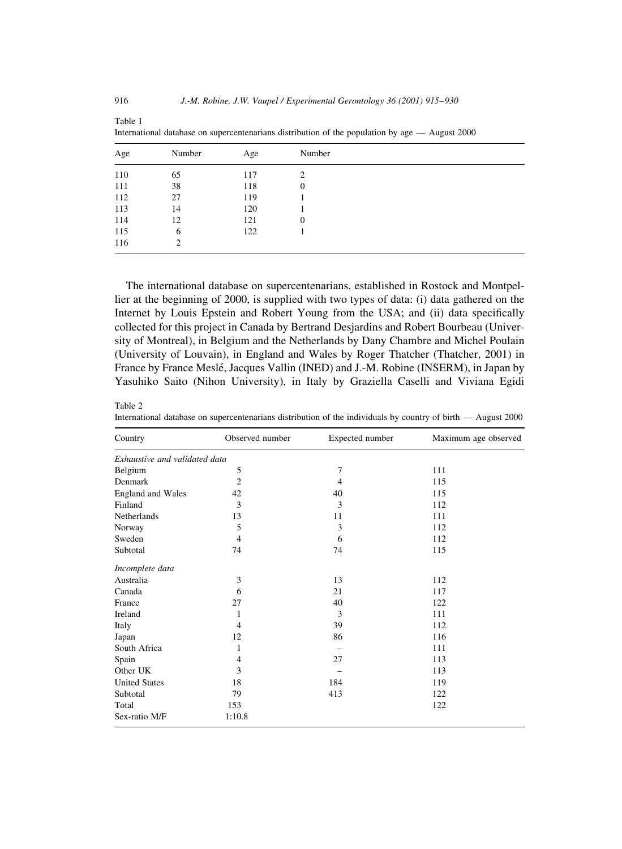| Age | Number | Age | Number           |
|-----|--------|-----|------------------|
| 110 | 65     | 117 | $\mathfrak{D}$   |
| 111 | 38     | 118 | 0                |
| 112 | 27     | 119 |                  |
| 113 | 14     | 120 |                  |
| 114 | 12     | 121 | $\boldsymbol{0}$ |
| 115 | 6      | 122 |                  |
| 116 | 2      |     |                  |

International database on supercentenarians distribution of the population by age — August 2000

The international database on supercentenarians, established in Rostock and Montpellier at the beginning of 2000, is supplied with two types of data: (i) data gathered on the Internet by Louis Epstein and Robert Young from the USA; and (ii) data specifically collected for this project in Canada by Bertrand Desjardins and Robert Bourbeau (University of Montreal), in Belgium and the Netherlands by Dany Chambre and Michel Poulain (University of Louvain), in England and Wales by Roger Thatcher (Thatcher, 2001) in France by France Meslé, Jacques Vallin (INED) and J.-M. Robine (INSERM), in Japan by Yasuhiko Saito (Nihon University), in Italy by Graziella Caselli and Viviana Egidi

#### Table 2

International database on supercentenarians distribution of the individuals by country of birth - August 2000

| Country                       | Observed number | Expected number | Maximum age observed |
|-------------------------------|-----------------|-----------------|----------------------|
| Exhaustive and validated data |                 |                 |                      |
| Belgium                       | 5               | 7               | 111                  |
| Denmark                       | $\overline{2}$  | 4               | 115                  |
| <b>England and Wales</b>      | 42              | 40              | 115                  |
| Finland                       | 3               | 3               | 112                  |
| Netherlands                   | 13              | 11              | 111                  |
| Norway                        | 5               | 3               | 112                  |
| Sweden                        | $\overline{4}$  | 6               | 112                  |
| Subtotal                      | 74              | 74              | 115                  |
| Incomplete data               |                 |                 |                      |
| Australia                     | 3               | 13              | 112                  |
| Canada                        | 6               | 21              | 117                  |
| France                        | 27              | 40              | 122                  |
| Ireland                       | 1               | 3               | 111                  |
| Italy                         | 4               | 39              | 112                  |
| Japan                         | 12              | 86              | 116                  |
| South Africa                  | 1               | -               | 111                  |
| Spain                         | 4               | 27              | 113                  |
| Other UK                      | 3               |                 | 113                  |
| <b>United States</b>          | 18              | 184             | 119                  |
| Subtotal                      | 79              | 413             | 122                  |
| Total                         | 153             |                 | 122                  |
| Sex-ratio M/F                 | 1:10.8          |                 |                      |

Table 1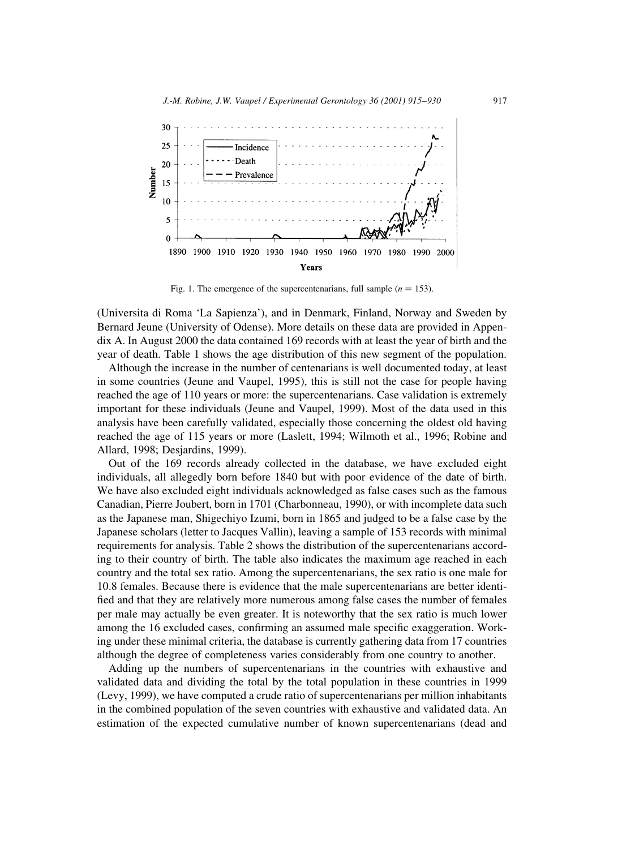

Fig. 1. The emergence of the supercentenarians, full sample  $(n = 153)$ .

(Universita di Roma 'La Sapienza'), and in Denmark, Finland, Norway and Sweden by Bernard Jeune (University of Odense). More details on these data are provided in Appendix A. In August 2000 the data contained 169 records with at least the year of birth and the year of death. Table 1 shows the age distribution of this new segment of the population.

Although the increase in the number of centenarians is well documented today, at least in some countries (Jeune and Vaupel, 1995), this is still not the case for people having reached the age of 110 years or more: the supercentenarians. Case validation is extremely important for these individuals (Jeune and Vaupel, 1999). Most of the data used in this analysis have been carefully validated, especially those concerning the oldest old having reached the age of 115 years or more (Laslett, 1994; Wilmoth et al., 1996; Robine and Allard, 1998; Desjardins, 1999).

Out of the 169 records already collected in the database, we have excluded eight individuals, all allegedly born before 1840 but with poor evidence of the date of birth. We have also excluded eight individuals acknowledged as false cases such as the famous Canadian, Pierre Joubert, born in 1701 (Charbonneau, 1990), or with incomplete data such as the Japanese man, Shigechiyo Izumi, born in 1865 and judged to be a false case by the Japanese scholars (letter to Jacques Vallin), leaving a sample of 153 records with minimal requirements for analysis. Table 2 shows the distribution of the supercentenarians according to their country of birth. The table also indicates the maximum age reached in each country and the total sex ratio. Among the supercentenarians, the sex ratio is one male for 10.8 females. Because there is evidence that the male supercentenarians are better identified and that they are relatively more numerous among false cases the number of females per male may actually be even greater. It is noteworthy that the sex ratio is much lower among the 16 excluded cases, confirming an assumed male specific exaggeration. Working under these minimal criteria, the database is currently gathering data from 17 countries although the degree of completeness varies considerably from one country to another.

Adding up the numbers of supercentenarians in the countries with exhaustive and validated data and dividing the total by the total population in these countries in 1999 (Levy, 1999), we have computed a crude ratio of supercentenarians per million inhabitants in the combined population of the seven countries with exhaustive and validated data. An estimation of the expected cumulative number of known supercentenarians (dead and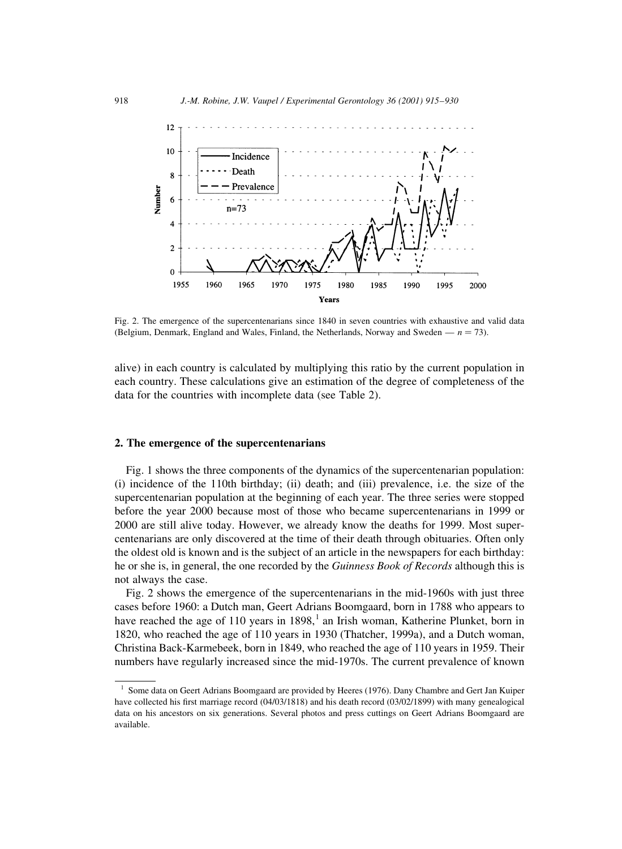

Fig. 2. The emergence of the supercentenarians since 1840 in seven countries with exhaustive and valid data (Belgium, Denmark, England and Wales, Finland, the Netherlands, Norway and Sweden —  $n = 73$ ).

alive) in each country is calculated by multiplying this ratio by the current population in each country. These calculations give an estimation of the degree of completeness of the data for the countries with incomplete data (see Table 2).

#### 2. The emergence of the supercentenarians

Fig. 1 shows the three components of the dynamics of the supercentenarian population: (i) incidence of the 110th birthday; (ii) death; and (iii) prevalence, i.e. the size of the supercentenarian population at the beginning of each year. The three series were stopped before the year 2000 because most of those who became supercentenarians in 1999 or 2000 are still alive today. However, we already know the deaths for 1999. Most supercentenarians are only discovered at the time of their death through obituaries. Often only the oldest old is known and is the subject of an article in the newspapers for each birthday: he or she is, in general, the one recorded by the Guinness Book of Records although this is not always the case.

Fig. 2 shows the emergence of the supercentenarians in the mid-1960s with just three cases before 1960: a Dutch man, Geert Adrians Boomgaard, born in 1788 who appears to have reached the age of 110 years in 1898,<sup>1</sup> an Irish woman, Katherine Plunket, born in 1820, who reached the age of 110 years in 1930 (Thatcher, 1999a), and a Dutch woman, Christina Back-Karmebeek, born in 1849, who reached the age of 110 years in 1959. Their numbers have regularly increased since the mid-1970s. The current prevalence of known

<sup>&</sup>lt;sup>1</sup> Some data on Geert Adrians Boomgaard are provided by Heeres (1976). Dany Chambre and Gert Jan Kuiper have collected his first marriage record  $(04/03/1818)$  and his death record  $(03/02/1899)$  with many genealogical data on his ancestors on six generations. Several photos and press cuttings on Geert Adrians Boomgaard are available.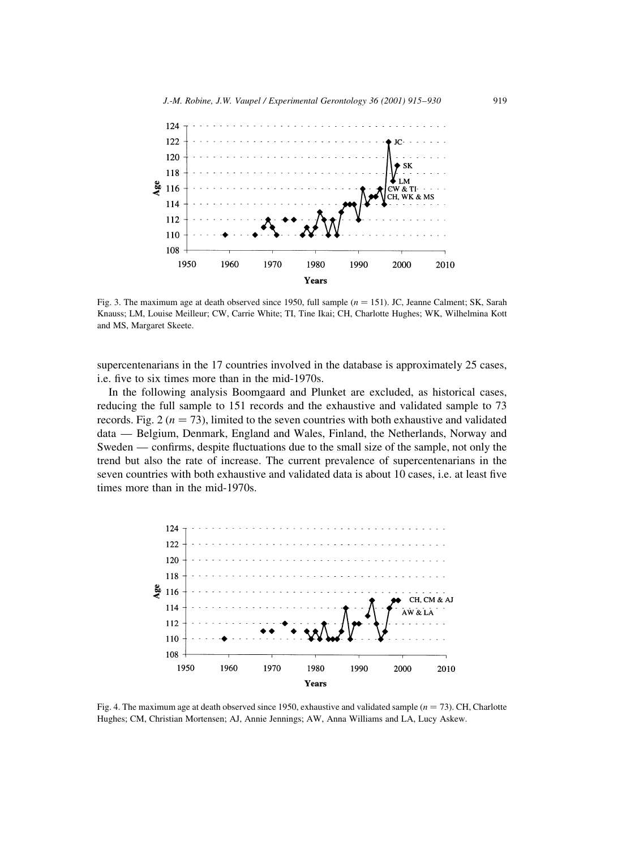

Fig. 3. The maximum age at death observed since 1950, full sample  $(n = 151)$ . JC, Jeanne Calment; SK, Sarah Knauss; LM, Louise Meilleur; CW, Carrie White; TI, Tine Ikai; CH, Charlotte Hughes; WK, Wilhelmina Kott and MS, Margaret Skeete.

supercentenarians in the 17 countries involved in the database is approximately 25 cases, i.e. five to six times more than in the mid-1970s.

In the following analysis Boomgaard and Plunket are excluded, as historical cases, reducing the full sample to 151 records and the exhaustive and validated sample to 73 records. Fig. 2 ( $n = 73$ ), limited to the seven countries with both exhaustive and validated data — Belgium, Denmark, England and Wales, Finland, the Netherlands, Norway and Sweden — confirms, despite fluctuations due to the small size of the sample, not only the trend but also the rate of increase. The current prevalence of supercentenarians in the seven countries with both exhaustive and validated data is about 10 cases, i.e. at least five times more than in the mid-1970s.



Fig. 4. The maximum age at death observed since 1950, exhaustive and validated sample  $(n = 73)$ . CH, Charlotte Hughes; CM, Christian Mortensen; AJ, Annie Jennings; AW, Anna Williams and LA, Lucy Askew.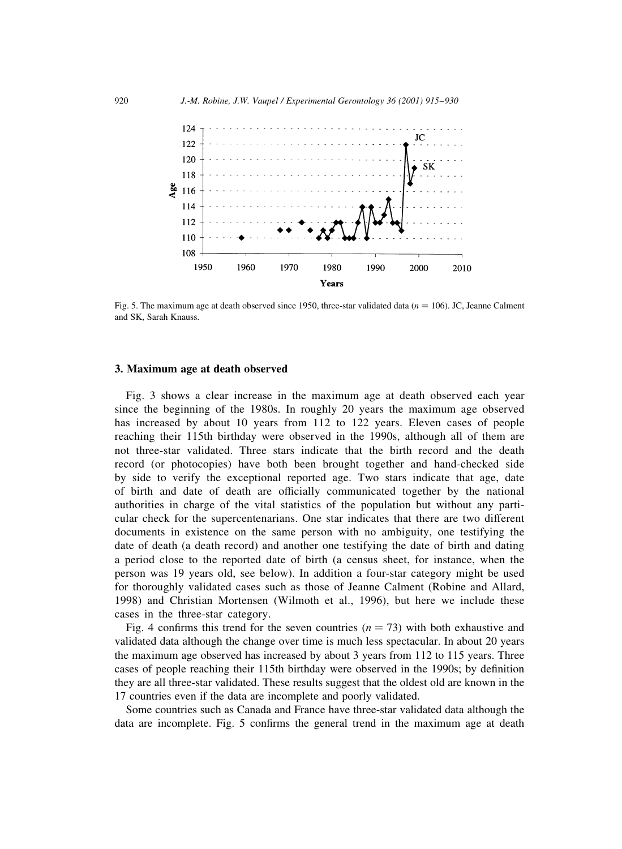

Fig. 5. The maximum age at death observed since 1950, three-star validated data ( $n = 106$ ). JC, Jeanne Calment and SK. Sarah Knauss.

#### 3. Maximum age at death observed

Fig. 3 shows a clear increase in the maximum age at death observed each year since the beginning of the 1980s. In roughly 20 years the maximum age observed has increased by about 10 years from 112 to 122 years. Eleven cases of people reaching their 115th birthday were observed in the 1990s, although all of them are not three-star validated. Three stars indicate that the birth record and the death record (or photocopies) have both been brought together and hand-checked side by side to verify the exceptional reported age. Two stars indicate that age, date of birth and date of death are officially communicated together by the national authorities in charge of the vital statistics of the population but without any particular check for the supercentenarians. One star indicates that there are two different documents in existence on the same person with no ambiguity, one testifying the date of death (a death record) and another one testifying the date of birth and dating a period close to the reported date of birth (a census sheet, for instance, when the person was 19 years old, see below). In addition a four-star category might be used for thoroughly validated cases such as those of Jeanne Calment (Robine and Allard, 1998) and Christian Mortensen (Wilmoth et al., 1996), but here we include these cases in the three-star category.

Fig. 4 confirms this trend for the seven countries  $(n = 73)$  with both exhaustive and validated data although the change over time is much less spectacular. In about 20 years the maximum age observed has increased by about 3 years from 112 to 115 years. Three cases of people reaching their 115th birthday were observed in the 1990s; by definition they are all three-star validated. These results suggest that the oldest old are known in the 17 countries even if the data are incomplete and poorly validated.

Some countries such as Canada and France have three-star validated data although the data are incomplete. Fig. 5 confirms the general trend in the maximum age at death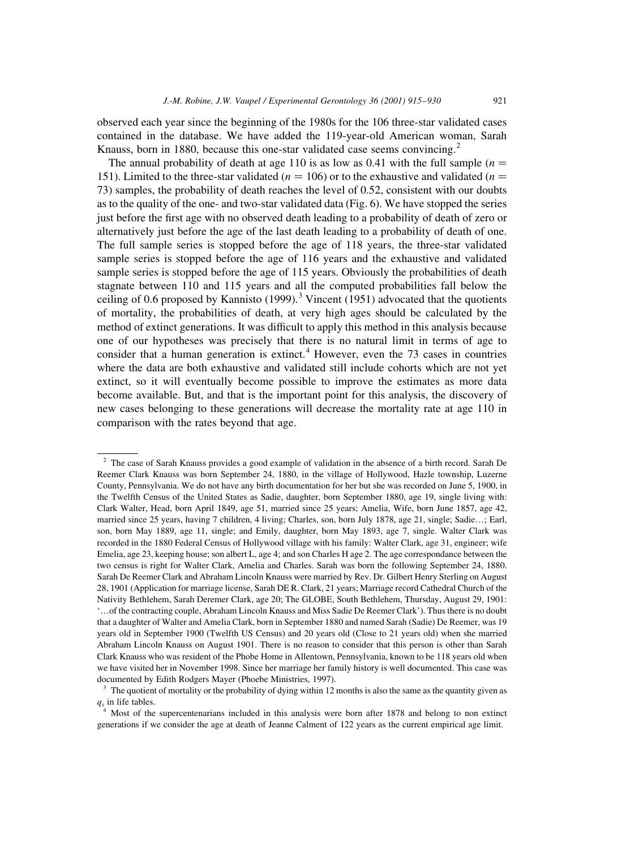observed each year since the beginning of the 1980s for the 106 three-star validated cases contained in the database. We have added the 119-year-old American woman, Sarah Knauss, born in 1880, because this one-star validated case seems convincing.<sup>2</sup>

The annual probability of death at age 110 is as low as 0.41 with the full sample ( $n =$ 151). Limited to the three-star validated ( $n = 106$ ) or to the exhaustive and validated ( $n =$ 73) samples, the probability of death reaches the level of 0.52, consistent with our doubts as to the quality of the one- and two-star validated data (Fig. 6). We have stopped the series just before the first age with no observed death leading to a probability of death of zero or alternatively just before the age of the last death leading to a probability of death of one. The full sample series is stopped before the age of 118 years, the three-star validated sample series is stopped before the age of 116 years and the exhaustive and validated sample series is stopped before the age of 115 years. Obviously the probabilities of death stagnate between 110 and 115 years and all the computed probabilities fall below the ceiling of 0.6 proposed by Kannisto  $(1999)$ .<sup>3</sup> Vincent  $(1951)$  advocated that the quotients of mortality, the probabilities of death, at very high ages should be calculated by the method of extinct generations. It was difficult to apply this method in this analysis because one of our hypotheses was precisely that there is no natural limit in terms of age to consider that a human generation is extinct.<sup>4</sup> However, even the 73 cases in countries where the data are both exhaustive and validated still include cohorts which are not yet extinct, so it will eventually become possible to improve the estimates as more data become available. But, and that is the important point for this analysis, the discovery of new cases belonging to these generations will decrease the mortality rate at age 110 in comparison with the rates beyond that age.

<sup>&</sup>lt;sup>2</sup> The case of Sarah Knauss provides a good example of validation in the absence of a birth record. Sarah De Reemer Clark Knauss was born September 24, 1880, in the village of Hollywood, Hazle township, Luzerne County, Pennsylvania. We do not have any birth documentation for her but she was recorded on June 5, 1900, in the Twelfth Census of the United States as Sadie, daughter, born September 1880, age 19, single living with: Clark Walter, Head, born April 1849, age 51, married since 25 years; Amelia, Wife, born June 1857, age 42, married since 25 years, having 7 children, 4 living; Charles, son, born July 1878, age 21, single; Sadie...; Earl, son, born May 1889, age 11, single; and Emily, daughter, born May 1893, age 7, single. Walter Clark was recorded in the 1880 Federal Census of Hollywood village with his family: Walter Clark, age 31, engineer; wife Emelia, age 23, keeping house; son albert L, age 4; and son Charles H age 2. The age correspondance between the two census is right for Walter Clark, Amelia and Charles. Sarah was born the following September 24, 1880. Sarah De Reemer Clark and Abraham Lincoln Knauss were married by Rev. Dr. Gilbert Henry Sterling on August 28, 1901 (Application for marriage license, Sarah DE R. Clark, 21 years; Marriage record Cathedral Church of the Nativity Bethlehem, Sarah Deremer Clark, age 20; The GLOBE, South Bethlehem, Thursday, August 29, 1901: "...of the contracting couple, Abraham Lincoln Knauss and Miss Sadie De Reemer Clark"). Thus there is no doubt that a daughter of Walter and Amelia Clark, born in September 1880 and named Sarah (Sadie) De Reemer, was 19 years old in September 1900 (Twelfth US Census) and 20 years old (Close to 21 years old) when she married Abraham Lincoln Knauss on August 1901. There is no reason to consider that this person is other than Sarah Clark Knauss who was resident of the Phobe Home in Allentown, Pennsylvania, known to be 118 years old when we have visited her in November 1998. Since her marriage her family history is well documented. This case was documented by Edith Rodgers Mayer (Phoebe Ministries, 1997).

<sup>&</sup>lt;sup>3</sup> The quotient of mortality or the probability of dying within 12 months is also the same as the quantity given as  $q_x$  in life tables.

Most of the supercentenarians included in this analysis were born after 1878 and belong to non extinct generations if we consider the age at death of Jeanne Calment of 122 years as the current empirical age limit.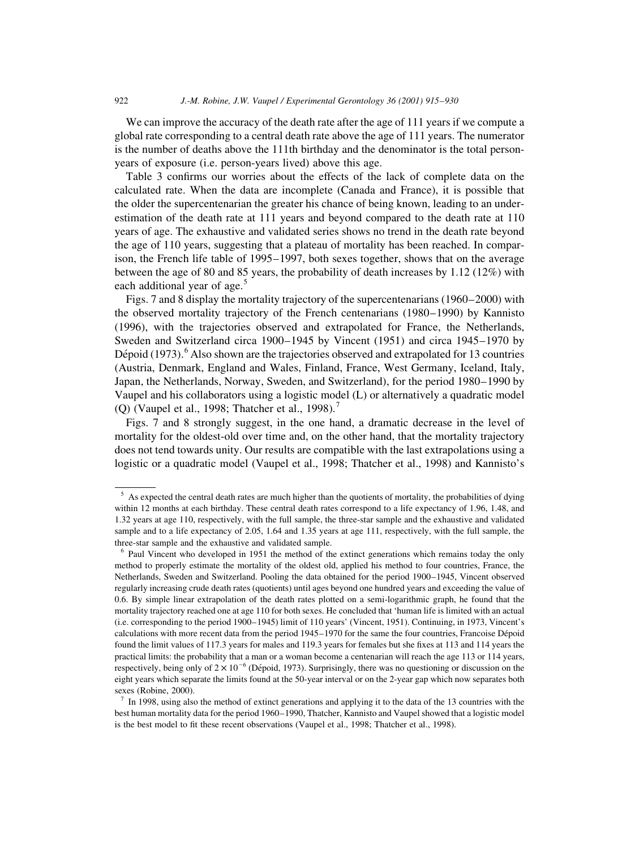We can improve the accuracy of the death rate after the age of 111 years if we compute a global rate corresponding to a central death rate above the age of 111 years. The numerator is the number of deaths above the 111th birthday and the denominator is the total personyears of exposure (i.e. person-years lived) above this age.

Table 3 confirms our worries about the effects of the lack of complete data on the calculated rate. When the data are incomplete (Canada and France), it is possible that the older the supercentenarian the greater his chance of being known, leading to an underestimation of the death rate at 111 years and beyond compared to the death rate at 110 years of age. The exhaustive and validated series shows no trend in the death rate beyond the age of 110 years, suggesting that a plateau of mortality has been reached. In comparison, the French life table of 1995–1997, both sexes together, shows that on the average between the age of 80 and 85 years, the probability of death increases by 1.12 (12%) with each additional year of age.<sup>5</sup>

Figs. 7 and 8 display the mortality trajectory of the supercentenarians (1960–2000) with the observed mortality trajectory of the French centenarians (1980–1990) by Kannisto (1996), with the trajectories observed and extrapolated for France, the Netherlands, Sweden and Switzerland circa 1900–1945 by Vincent (1951) and circa 1945–1970 by Dépoid  $(1973)$ . Also shown are the trajectories observed and extrapolated for 13 countries (Austria, Denmark, England and Wales, Finland, France, West Germany, Iceland, Italy, Japan, the Netherlands, Norway, Sweden, and Switzerland), for the period 1980–1990 by Vaupel and his collaborators using a logistic model (L) or alternatively a quadratic model (Q) (Vaupel et al., 1998; Thatcher et al., 1998).<sup>7</sup>

Figs. 7 and 8 strongly suggest, in the one hand, a dramatic decrease in the level of mortality for the oldest-old over time and, on the other hand, that the mortality trajectory does not tend towards unity. Our results are compatible with the last extrapolations using a logistic or a quadratic model (Vaupel et al., 1998; Thatcher et al., 1998) and Kannisto's

 $5$  As expected the central death rates are much higher than the quotients of mortality, the probabilities of dying within 12 months at each birthday. These central death rates correspond to a life expectancy of 1.96, 1.48, and 1.32 years at age 110, respectively, with the full sample, the three-star sample and the exhaustive and validated sample and to a life expectancy of 2.05, 1.64 and 1.35 years at age 111, respectively, with the full sample, the three-star sample and the exhaustive and validated sample.

<sup>&</sup>lt;sup>6</sup> Paul Vincent who developed in 1951 the method of the extinct generations which remains today the only method to properly estimate the mortality of the oldest old, applied his method to four countries, France, the Netherlands, Sweden and Switzerland. Pooling the data obtained for the period 1900–1945, Vincent observed regularly increasing crude death rates (quotients) until ages beyond one hundred years and exceeding the value of 0.6. By simple linear extrapolation of the death rates plotted on a semi-logarithmic graph, he found that the mortality trajectory reached one at age 110 for both sexes. He concluded that 'human life is limited with an actual (i.e. corresponding to the period 1900–1945) limit of 110 years' (Vincent, 1951). Continuing, in 1973, Vincent's calculations with more recent data from the period 1945–1970 for the same the four countries, Francoise Dépoid found the limit values of 117.3 years for males and 119.3 years for females but she fixes at 113 and 114 years the practical limits: the probability that a man or a woman become a centenarian will reach the age 113 or 114 years, respectively, being only of  $2 \times 10^{-6}$  (Dépoid, 1973). Surprisingly, there was no questioning or discussion on the eight years which separate the limits found at the 50-year interval or on the 2-year gap which now separates both sexes (Robine, 2000).

 $\frac{7}{1}$  In 1998, using also the method of extinct generations and applying it to the data of the 13 countries with the best human mortality data for the period 1960–1990, Thatcher, Kannisto and Vaupel showed that a logistic model is the best model to fit these recent observations (Vaupel et al., 1998; Thatcher et al., 1998).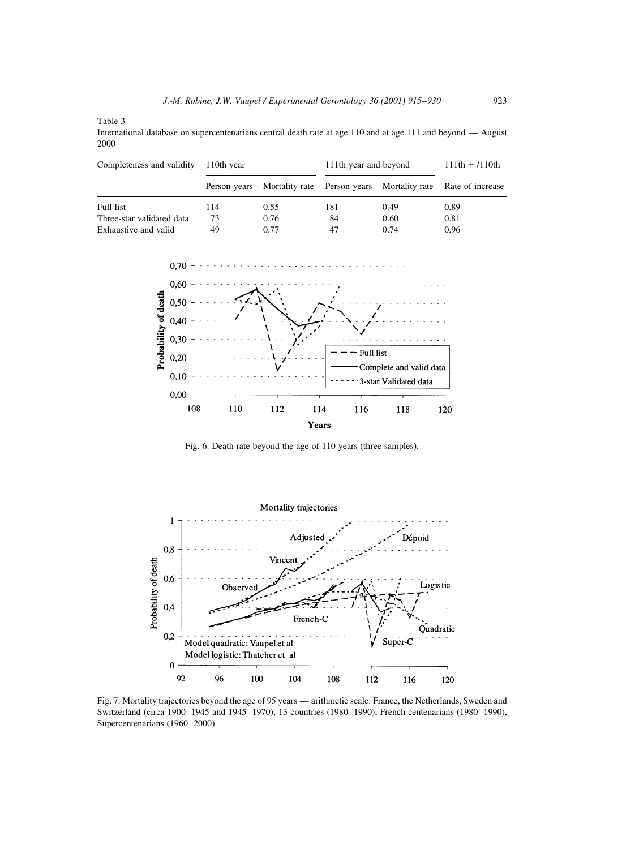Table 3

International database on supercentenarians central death rate at age 110 and at age 111 and beyond - August 2000

| Completeness and validity | 110th year   |      | 111th year and beyond | $111th + 110th$ |                                                             |
|---------------------------|--------------|------|-----------------------|-----------------|-------------------------------------------------------------|
|                           | Person-years |      |                       |                 | Mortality rate Person-years Mortality rate Rate of increase |
| Full list                 | 114          | 0.55 | 181                   | 0.49            | 0.89                                                        |
| Three-star validated data | 73           | 0.76 | 84                    | 0.60            | 0.81                                                        |
| Exhaustive and valid      | 49           | 0.77 | 47                    | 0.74            | 0.96                                                        |



Fig. 6. Death rate beyond the age of 110 years (three samples).



Fig. 7. Mortality trajectories beyond the age of 95 years — arithmetic scale: France, the Netherlands, Sweden and Switzerland (circa 1900-1945 and 1945-1970), 13 countries (1980-1990), French centenarians (1980-1990), Supercentenarians (1960-2000).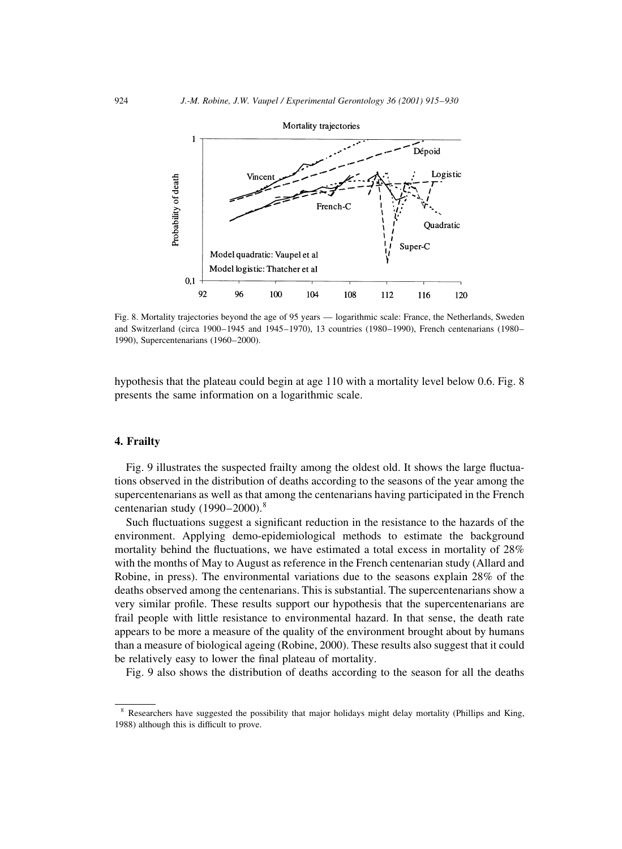

Fig. 8. Mortality trajectories beyond the age of 95 years — logarithmic scale: France, the Netherlands, Sweden and Switzerland (circa 1900–1945 and 1945–1970), 13 countries (1980–1990), French centenarians (1980– 1990), Supercentenarians (1960-2000).

hypothesis that the plateau could begin at age 110 with a mortality level below 0.6. Fig. 8 presents the same information on a logarithmic scale.

#### 4. Frailty

Fig. 9 illustrates the suspected frailty among the oldest old. It shows the large fluctuations observed in the distribution of deaths according to the seasons of the year among the supercentenarians as well as that among the centenarians having participated in the French centenarian study  $(1990-2000).$ <sup>8</sup>

Such fluctuations suggest a significant reduction in the resistance to the hazards of the environment. Applying demo-epidemiological methods to estimate the background mortality behind the fluctuations, we have estimated a total excess in mortality of 28% with the months of May to August as reference in the French centenarian study (Allard and Robine, in press). The environmental variations due to the seasons explain 28% of the deaths observed among the centenarians. This is substantial. The supercentenarians show a very similar profile. These results support our hypothesis that the supercentenarians are frail people with little resistance to environmental hazard. In that sense, the death rate appears to be more a measure of the quality of the environment brought about by humans than a measure of biological ageing (Robine, 2000). These results also suggest that it could be relatively easy to lower the final plateau of mortality.

Fig. 9 also shows the distribution of deaths according to the season for all the deaths

<sup>&</sup>lt;sup>8</sup> Researchers have suggested the possibility that major holidays might delay mortality (Phillips and King, 1988) although this is difficult to prove.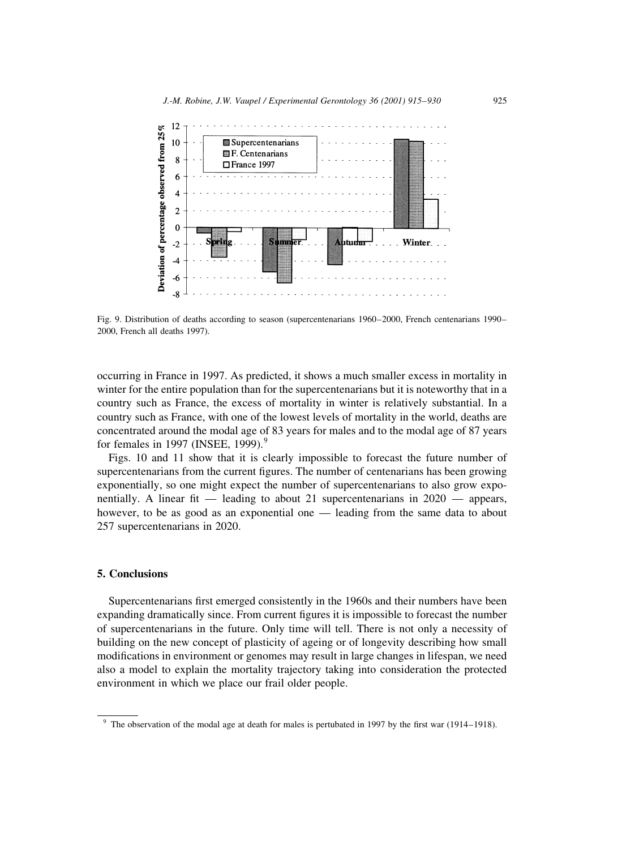

Fig. 9. Distribution of deaths according to season (supercentenarians 1960–2000, French centenarians 1990– 2000, French all deaths 1997).

occurring in France in 1997. As predicted, it shows a much smaller excess in mortality in winter for the entire population than for the supercentenarians but it is noteworthy that in a country such as France, the excess of mortality in winter is relatively substantial. In a country such as France, with one of the lowest levels of mortality in the world, deaths are concentrated around the modal age of 83 years for males and to the modal age of 87 years for females in 1997 (INSEE, 1999). $9$ 

Figs. 10 and 11 show that it is clearly impossible to forecast the future number of supercentenarians from the current figures. The number of centenarians has been growing exponentially, so one might expect the number of supercentenarians to also grow exponentially. A linear fit — leading to about 21 supercentenarians in  $2020$  — appears, however, to be as good as an exponential one — leading from the same data to about 257 supercentenarians in 2020.

#### 5. Conclusions

Supercentenarians first emerged consistently in the 1960s and their numbers have been expanding dramatically since. From current figures it is impossible to forecast the number of supercentenarians in the future. Only time will tell. There is not only a necessity of building on the new concept of plasticity of ageing or of longevity describing how small modifications in environment or genomes may result in large changes in lifespan, we need also a model to explain the mortality trajectory taking into consideration the protected environment in which we place our frail older people.

The observation of the modal age at death for males is pertubated in 1997 by the first war (1914–1918).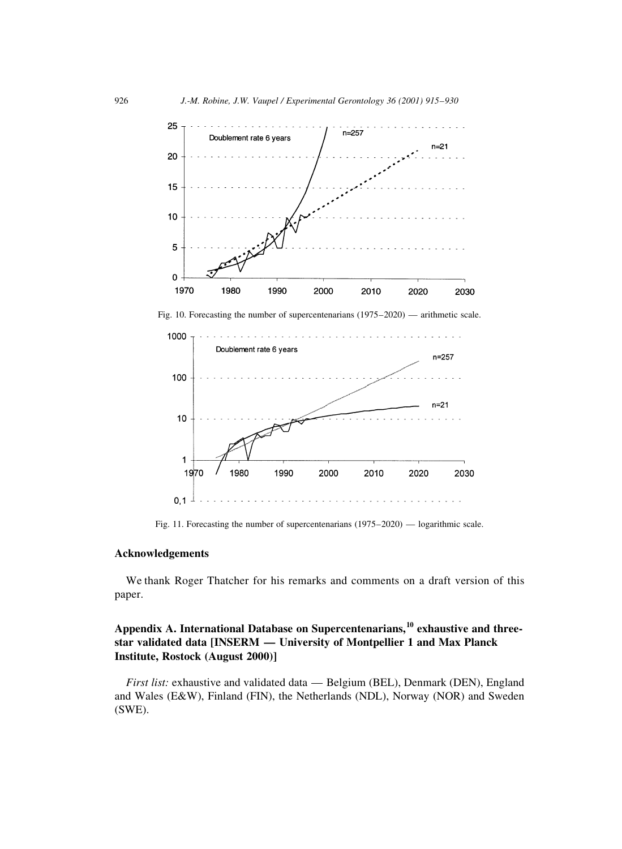

Fig. 11. Forecasting the number of supercentenarians (1975-2020) — logarithmic scale.

#### Acknowledgements

We thank Roger Thatcher for his remarks and comments on a draft version of this paper.

### Appendix A. International Database on Supercentenarians,<sup>10</sup> exhaustive and threestar validated data [INSERM — University of Montpellier 1 and Max Planck Institute, Rostock (August 2000)]

*First list:* exhaustive and validated data — Belgium (BEL), Denmark (DEN), England and Wales (E&W), Finland (FIN), the Netherlands (NDL), Norway (NOR) and Sweden  $(SWE)$ .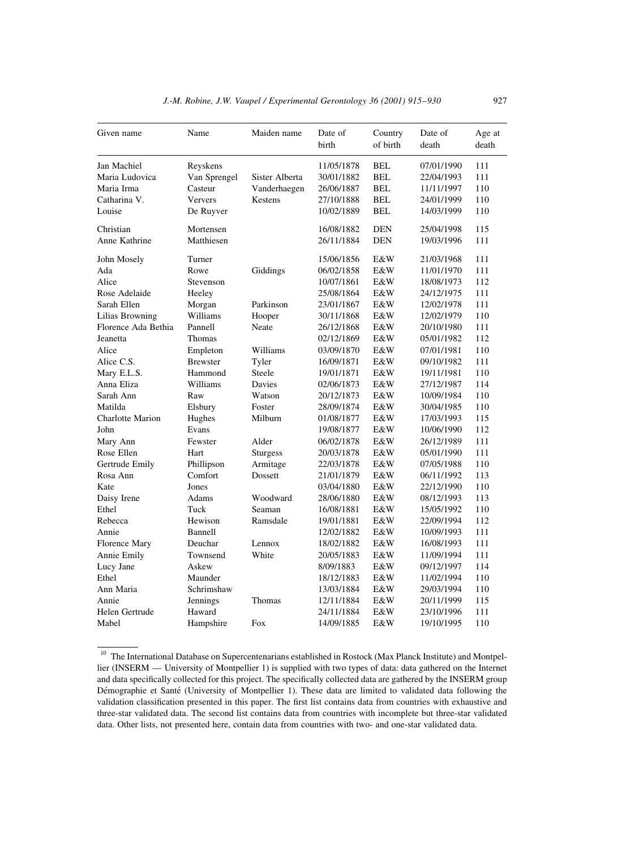| Given name              | Name            | Maiden name     | Date of    | Country    | Date of    | Age at |
|-------------------------|-----------------|-----------------|------------|------------|------------|--------|
|                         |                 |                 | birth      | of birth   | death      | death  |
| Jan Machiel             | Reyskens        |                 | 11/05/1878 | <b>BEL</b> | 07/01/1990 | 111    |
| Maria Ludovica          | Van Sprengel    | Sister Alberta  | 30/01/1882 | <b>BEL</b> | 22/04/1993 | 111    |
| Maria Irma              | Casteur         | Vanderhaegen    | 26/06/1887 | BEL        | 11/11/1997 | 110    |
| Catharina V.            | Ververs         | Kestens         | 27/10/1888 | BEL        | 24/01/1999 | 110    |
| Louise                  | De Ruyver       |                 | 10/02/1889 | BEL        | 14/03/1999 | 110    |
| Christian               | Mortensen       |                 | 16/08/1882 | <b>DEN</b> | 25/04/1998 | 115    |
| Anne Kathrine           | Matthiesen      |                 | 26/11/1884 | <b>DEN</b> | 19/03/1996 | 111    |
| John Mosely             | Turner          |                 | 15/06/1856 | E&W        | 21/03/1968 | 111    |
| Ada                     | Rowe            | Giddings        | 06/02/1858 | E&W        | 11/01/1970 | 111    |
| Alice                   | Stevenson       |                 | 10/07/1861 | E&W        | 18/08/1973 | 112    |
| Rose Adelaide           | Heeley          |                 | 25/08/1864 | E&W        | 24/12/1975 | 111    |
| Sarah Ellen             | Morgan          | Parkinson       | 23/01/1867 | E&W        | 12/02/1978 | 111    |
| Lilias Browning         | Williams        | Hooper          | 30/11/1868 | E&W        | 12/02/1979 | 110    |
| Florence Ada Bethia     | Pannell         | Neate           | 26/12/1868 | E&W        | 20/10/1980 | 111    |
| Jeanetta                | Thomas          |                 | 02/12/1869 | E&W        | 05/01/1982 | 112    |
| Alice                   | Empleton        | Williams        | 03/09/1870 | E&W        | 07/01/1981 | 110    |
| Alice C.S.              | <b>Brewster</b> | Tyler           | 16/09/1871 | E&W        | 09/10/1982 | 111    |
| Mary E.L.S.             | Hammond         | Steele          | 19/01/1871 | E&W        | 19/11/1981 | 110    |
| Anna Eliza              | Williams        | Davies          | 02/06/1873 | E&W        | 27/12/1987 | 114    |
| Sarah Ann               | Raw             | Watson          | 20/12/1873 | E&W        | 10/09/1984 | 110    |
| Matilda                 | Elsbury         | Foster          | 28/09/1874 | E&W        | 30/04/1985 | 110    |
| <b>Charlotte Marion</b> | Hughes          | Milburn         | 01/08/1877 | E&W        | 17/03/1993 | 115    |
| John                    | Evans           |                 | 19/08/1877 | E&W        | 10/06/1990 | 112    |
| Mary Ann                | Fewster         | Alder           | 06/02/1878 | E&W        | 26/12/1989 | 111    |
| Rose Ellen              | Hart            | <b>Sturgess</b> | 20/03/1878 | E&W        | 05/01/1990 | 111    |
| Gertrude Emily          | Phillipson      | Armitage        | 22/03/1878 | E&W        | 07/05/1988 | 110    |
| Rosa Ann                | Comfort         | Dossett         | 21/01/1879 | E&W        | 06/11/1992 | 113    |
| Kate                    | Jones           |                 | 03/04/1880 | E&W        | 22/12/1990 | 110    |
| Daisy Irene             | Adams           | Woodward        | 28/06/1880 | E&W        | 08/12/1993 | 113    |
| Ethel                   | Tuck            | Seaman          | 16/08/1881 | E&W        | 15/05/1992 | 110    |
| Rebecca                 | Hewison         | Ramsdale        | 19/01/1881 | E&W        | 22/09/1994 | 112    |
| Annie                   | Bannell         |                 | 12/02/1882 | E&W        | 10/09/1993 | 111    |
| Florence Mary           | Deuchar         | Lennox          | 18/02/1882 | E&W        | 16/08/1993 | 111    |
| Annie Emily             | Townsend        | White           | 20/05/1883 | E&W        | 11/09/1994 | 111    |
| Lucy Jane               | Askew           |                 | 8/09/1883  | E&W        | 09/12/1997 | 114    |
| Ethel                   | Maunder         |                 | 18/12/1883 | E&W        | 11/02/1994 | 110    |
| Ann Maria               | Schrimshaw      |                 | 13/03/1884 | E&W        | 29/03/1994 | 110    |
| Annie                   | <b>Jennings</b> | Thomas          | 12/11/1884 | E&W        | 20/11/1999 | 115    |
| Helen Gertrude          | Haward          |                 | 24/11/1884 | E&W        | 23/10/1996 | 111    |
| Mabel                   | Hampshire       | Fox             | 14/09/1885 | E&W        | 19/10/1995 | 110    |

 $10$  The International Database on Supercentenarians established in Rostock (Max Planck Institute) and Montpellier (INSERM — University of Montpellier 1) is supplied with two types of data: data gathered on the Internet and data specifically collected for this project. The specifically collected data are gathered by the INSERM group Démographie et Santé (University of Montpellier 1). These data are limited to validated data following the validation classification presented in this paper. The first list contains data from countries with exhaustive and three-star validated data. The second list contains data from countries with incomplete but three-star validated data. Other lists, not presented here, contain data from countries with two- and one-star validated data.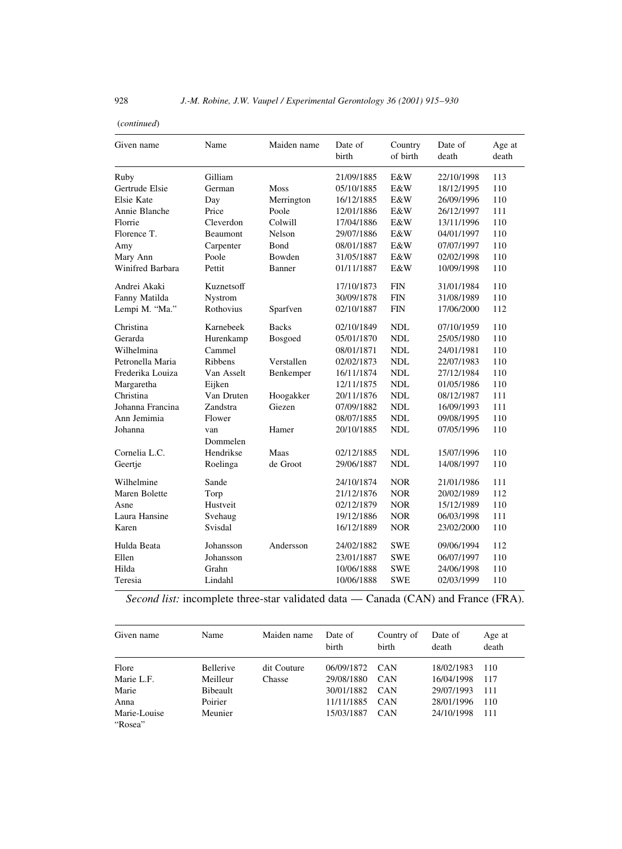#### $(continued)$

| Given name                           | Name                     | Maiden name        | Date of<br>birth                       | Country<br>of birth | Date of<br>death                       | Age at<br>death   |
|--------------------------------------|--------------------------|--------------------|----------------------------------------|---------------------|----------------------------------------|-------------------|
| Ruby<br>Gertrude Elsie<br>Elsie Kate | Gilliam<br>German<br>Day | Moss<br>Merrington | 21/09/1885<br>05/10/1885<br>16/12/1885 | E&W<br>E&W<br>E&W   | 22/10/1998<br>18/12/1995<br>26/09/1996 | 113<br>110<br>110 |
| Annie Blanche                        | Price                    | Poole              | 12/01/1886                             | E&W                 | 26/12/1997                             | 111               |
| Florrie                              | Cleverdon                | Colwill            | 17/04/1886                             | E&W                 | 13/11/1996                             | 110               |
| Florence T.                          | Beaumont                 | Nelson             | 29/07/1886                             | E&W                 | 04/01/1997                             | 110               |
| Amy                                  | Carpenter                | <b>B</b> ond       | 08/01/1887                             | E&W                 | 07/07/1997                             | 110               |
| Mary Ann                             | Poole                    | Bowden             | 31/05/1887                             | E&W                 | 02/02/1998                             | 110               |
| Winifred Barbara                     | Pettit                   | Banner             | 01/11/1887                             | E&W                 | 10/09/1998                             | 110               |
| Andrei Akaki                         | Kuznetsoff               |                    | 17/10/1873                             | <b>FIN</b>          | 31/01/1984                             | 110               |
| Fanny Matilda                        | Nystrom                  |                    | 30/09/1878                             | <b>FIN</b>          | 31/08/1989                             | 110               |
| Lempi M. "Ma."                       | Rothovius                | Sparfven           | 02/10/1887                             | <b>FIN</b>          | 17/06/2000                             | 112               |
| Christina                            | Karnebeek                | <b>Backs</b>       | 02/10/1849                             | <b>NDL</b>          | 07/10/1959                             | 110               |
| Gerarda                              | Hurenkamp                | Bosgoed            | 05/01/1870                             | NDL                 | 25/05/1980                             | 110               |
| Wilhelmina                           | Cammel                   |                    | 08/01/1871                             | <b>NDL</b>          | 24/01/1981                             | 110               |
| Petronella Maria                     | <b>Ribbens</b>           | Verstallen         | 02/02/1873                             | NDL                 | 22/07/1983                             | 110               |
| Frederika Louiza                     | Van Asselt               | Benkemper          | 16/11/1874                             | <b>NDL</b>          | 27/12/1984                             | 110               |
| Margaretha                           | Eijken                   |                    | 12/11/1875                             | <b>NDL</b>          | 01/05/1986                             | 110               |
| Christina                            | Van Druten               | Hoogakker          | 20/11/1876                             | <b>NDL</b>          | 08/12/1987                             | 111               |
| Johanna Francina                     | Zandstra                 | Giezen             | 07/09/1882                             | NDL                 | 16/09/1993                             | 111               |
| Ann Jemimia                          | Flower                   |                    | 08/07/1885                             | <b>NDL</b>          | 09/08/1995                             | 110               |
| Johanna                              | van<br>Dommelen          | Hamer              | 20/10/1885                             | <b>NDL</b>          | 07/05/1996                             | 110               |
| Cornelia L.C.                        | Hendrikse                | Maas               | 02/12/1885                             | NDL                 | 15/07/1996                             | 110               |
| Geertje                              | Roelinga                 | de Groot           | 29/06/1887                             | <b>NDL</b>          | 14/08/1997                             | 110               |
| Wilhelmine                           | Sande                    |                    | 24/10/1874                             | <b>NOR</b>          | 21/01/1986                             | 111               |
| Maren Bolette                        | Torp                     |                    | 21/12/1876                             | <b>NOR</b>          | 20/02/1989                             | 112               |
| Asne                                 | Hustveit                 |                    | 02/12/1879                             | <b>NOR</b>          | 15/12/1989                             | 110               |
| Laura Hansine                        | Svehaug                  |                    | 19/12/1886                             | <b>NOR</b>          | 06/03/1998                             | 111               |
| Karen                                | Svisdal                  |                    | 16/12/1889                             | <b>NOR</b>          | 23/02/2000                             | 110               |
| Hulda Beata                          | Johansson                | Andersson          | 24/02/1882                             | <b>SWE</b>          | 09/06/1994                             | 112               |
| Ellen                                | Johansson                |                    | 23/01/1887                             | <b>SWE</b>          | 06/07/1997                             | 110               |
| Hilda                                | Grahn                    |                    | 10/06/1888                             | <b>SWE</b>          | 24/06/1998                             | 110               |
| Teresia                              | Lindahl                  |                    | 10/06/1888                             | <b>SWE</b>          | 02/03/1999                             | 110               |

Second list: incomplete three-star validated data — Canada (CAN) and France (FRA).

| Given name              | Name      | Maiden name | Date of<br>birth | Country of<br>birth | Date of<br>death | Age at<br>death |
|-------------------------|-----------|-------------|------------------|---------------------|------------------|-----------------|
| Flore                   | Bellerive | dit Couture | 06/09/1872       | <b>CAN</b>          | 18/02/1983       | 110             |
| Marie L.F.              | Meilleur  | Chasse      | 29/08/1880       | <b>CAN</b>          | 16/04/1998       | 117             |
| Marie                   | Bibeault  |             | 30/01/1882       | <b>CAN</b>          | 29/07/1993       | -111            |
| Anna                    | Poirier   |             | 11/11/1885       | <b>CAN</b>          | 28/01/1996       | 110             |
| Marie-Louise<br>"Rosea" | Meunier   |             | 15/03/1887       | <b>CAN</b>          | 24/10/1998       | 111             |

928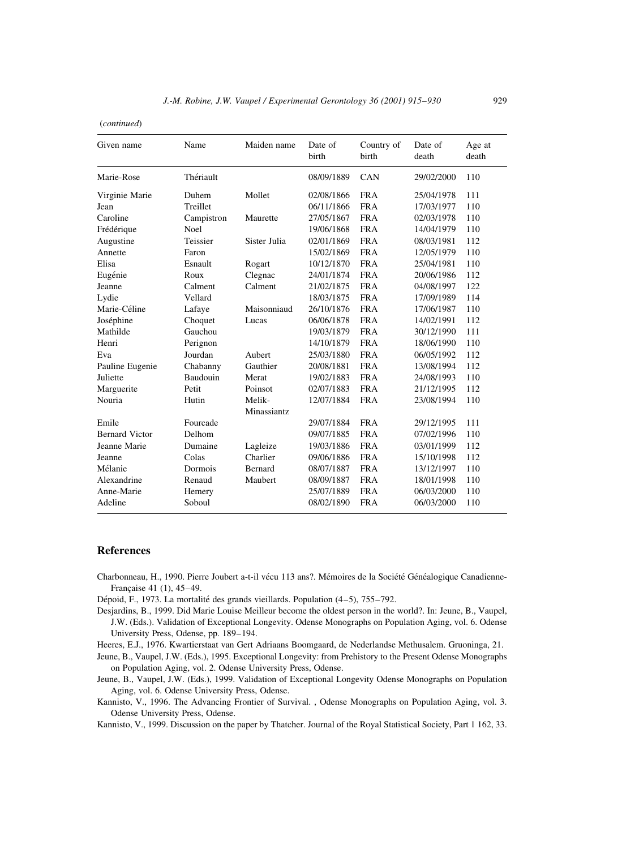(continued)

| Given name            | Name        | Maiden name  | Date of<br>birth | Country of<br>birth | Date of<br>death | Age at<br>death |
|-----------------------|-------------|--------------|------------------|---------------------|------------------|-----------------|
| Marie-Rose            | Thériault   |              | 08/09/1889       | CAN                 | 29/02/2000       | 110             |
| Virginie Marie        | Duhem       | Mollet       | 02/08/1866       | <b>FRA</b>          | 25/04/1978       | 111             |
| Jean                  | Treillet    |              | 06/11/1866       | <b>FRA</b>          | 17/03/1977       | 110             |
| Caroline              | Campistron  | Maurette     | 27/05/1867       | <b>FRA</b>          | 02/03/1978       | 110             |
| Frédérique            | <b>Noel</b> |              | 19/06/1868       | <b>FRA</b>          | 14/04/1979       | 110             |
| Augustine             | Teissier    | Sister Julia | 02/01/1869       | <b>FRA</b>          | 08/03/1981       | 112             |
| Annette               | Faron       |              | 15/02/1869       | <b>FRA</b>          | 12/05/1979       | 110             |
| Elisa                 | Esnault     | Rogart       | 10/12/1870       | <b>FRA</b>          | 25/04/1981       | 110             |
| Eugénie               | Roux        | Clegnac      | 24/01/1874       | <b>FRA</b>          | 20/06/1986       | 112             |
| Jeanne                | Calment     | Calment      | 21/02/1875       | <b>FRA</b>          | 04/08/1997       | 122             |
| Lydie                 | Vellard     |              | 18/03/1875       | <b>FRA</b>          | 17/09/1989       | 114             |
| Marie-Céline          | Lafaye      | Maisonniaud  | 26/10/1876       | <b>FRA</b>          | 17/06/1987       | 110             |
| Joséphine             | Choquet     | Lucas        | 06/06/1878       | <b>FRA</b>          | 14/02/1991       | 112             |
| Mathilde              | Gauchou     |              | 19/03/1879       | <b>FRA</b>          | 30/12/1990       | 111             |
| Henri                 | Perignon    |              | 14/10/1879       | <b>FRA</b>          | 18/06/1990       | 110             |
| Eva                   | Jourdan     | Aubert       | 25/03/1880       | <b>FRA</b>          | 06/05/1992       | 112             |
| Pauline Eugenie       | Chabanny    | Gauthier     | 20/08/1881       | <b>FRA</b>          | 13/08/1994       | 112             |
| Juliette              | Baudouin    | Merat        | 19/02/1883       | <b>FRA</b>          | 24/08/1993       | 110             |
| Marguerite            | Petit       | Poinsot      | 02/07/1883       | <b>FRA</b>          | 21/12/1995       | 112             |
| Nouria                | Hutin       | Melik-       | 12/07/1884       | <b>FRA</b>          | 23/08/1994       | 110             |
|                       |             | Minassiantz  |                  |                     |                  |                 |
| Emile                 | Fourcade    |              | 29/07/1884       | <b>FRA</b>          | 29/12/1995       | 111             |
| <b>Bernard Victor</b> | Delhom      |              | 09/07/1885       | <b>FRA</b>          | 07/02/1996       | 110             |
| Jeanne Marie          | Dumaine     | Lagleize     | 19/03/1886       | <b>FRA</b>          | 03/01/1999       | 112             |
| Jeanne                | Colas       | Charlier     | 09/06/1886       | <b>FRA</b>          | 15/10/1998       | 112             |
| Mélanie               | Dormois     | Bernard      | 08/07/1887       | <b>FRA</b>          | 13/12/1997       | 110             |
| Alexandrine           | Renaud      | Maubert      | 08/09/1887       | <b>FRA</b>          | 18/01/1998       | 110             |
| Anne-Marie            | Hemery      |              | 25/07/1889       | <b>FRA</b>          | 06/03/2000       | 110             |
| Adeline               | Soboul      |              | 08/02/1890       | <b>FRA</b>          | 06/03/2000       | 110             |

#### **References**

Charbonneau, H., 1990. Pierre Joubert a-t-il vécu 113 ans?. Mémoires de la Société Généalogique Canadienne-Française 41 (1), 45-49.

Dépoid, F., 1973. La mortalité des grands vieillards. Population (4–5), 755–792.

- Desjardins, B., 1999. Did Marie Louise Meilleur become the oldest person in the world?. In: Jeune, B., Vaupel, J.W. (Eds.). Validation of Exceptional Longevity. Odense Monographs on Population Aging, vol. 6. Odense University Press, Odense, pp. 189-194.
- Heeres, E.J., 1976. Kwartierstaat van Gert Adriaans Boomgaard, de Nederlandse Methusalem. Gruoninga, 21.

Jeune, B., Vaupel, J.W. (Eds.), 1995. Exceptional Longevity: from Prehistory to the Present Odense Monographs on Population Aging, vol. 2. Odense University Press, Odense.

Jeune, B., Vaupel, J.W. (Eds.), 1999. Validation of Exceptional Longevity Odense Monographs on Population Aging, vol. 6. Odense University Press, Odense.

Kannisto, V., 1996. The Advancing Frontier of Survival. , Odense Monographs on Population Aging, vol. 3. Odense University Press, Odense.

Kannisto, V., 1999. Discussion on the paper by Thatcher. Journal of the Royal Statistical Society, Part 1 162, 33.